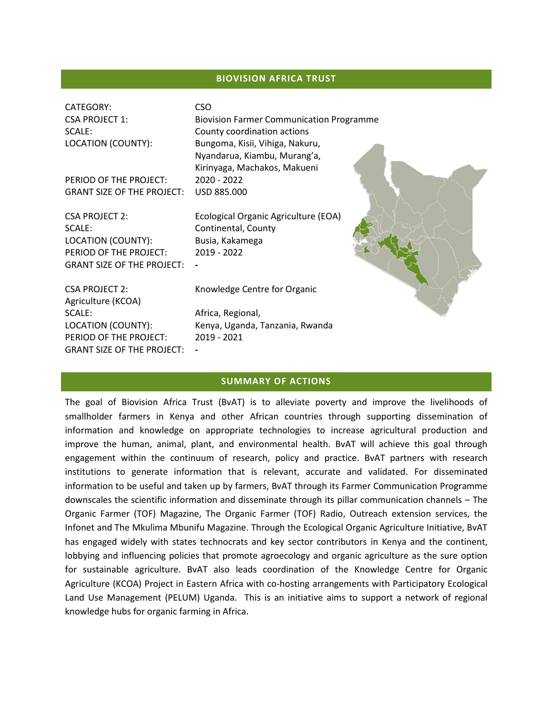#### **BIOVISION AFRICA TRUST**

| CATEGORY:<br><b>CSA PROJECT 1:</b><br>SCALE:<br>LOCATION (COUNTY): | <b>CSO</b><br><b>Biovision Farmer Communication Programme</b><br>County coordination actions<br>Bungoma, Kisii, Vihiga, Nakuru,<br>Nyandarua, Kiambu, Murang'a,<br>Kirinyaga, Machakos, Makueni |  |
|--------------------------------------------------------------------|-------------------------------------------------------------------------------------------------------------------------------------------------------------------------------------------------|--|
| PERIOD OF THE PROJECT:                                             | 2020 - 2022                                                                                                                                                                                     |  |
| <b>GRANT SIZE OF THE PROJECT:</b>                                  | USD 885,000                                                                                                                                                                                     |  |
|                                                                    |                                                                                                                                                                                                 |  |
| <b>CSA PROJECT 2:</b><br>SCALE:                                    | Ecological Organic Agriculture (EOA)<br>Continental, County                                                                                                                                     |  |
| LOCATION (COUNTY):                                                 | Busia, Kakamega                                                                                                                                                                                 |  |
| PERIOD OF THE PROJECT:                                             | 2019 - 2022                                                                                                                                                                                     |  |
| <b>GRANT SIZE OF THE PROJECT:</b>                                  |                                                                                                                                                                                                 |  |
| <b>CSA PROJECT 2:</b><br>Agriculture (KCOA)                        | Knowledge Centre for Organic                                                                                                                                                                    |  |
| SCALE:                                                             | Africa, Regional,                                                                                                                                                                               |  |
| LOCATION (COUNTY):                                                 | Kenya, Uganda, Tanzania, Rwanda                                                                                                                                                                 |  |
| PERIOD OF THE PROJECT:                                             | 2019 - 2021                                                                                                                                                                                     |  |

#### **SUMMARY OF ACTIONS**

GRANT SIZE OF THE PROJECT: **-**

The goal of Biovision Africa Trust (BvAT) is to alleviate poverty and improve the livelihoods of smallholder farmers in Kenya and other African countries through supporting dissemination of information and knowledge on appropriate technologies to increase agricultural production and improve the human, animal, plant, and environmental health. BvAT will achieve this goal through engagement within the continuum of research, policy and practice. BvAT partners with research institutions to generate information that is relevant, accurate and validated. For disseminated information to be useful and taken up by farmers, BvAT through its Farmer Communication Programme downscales the scientific information and disseminate through its pillar communication channels – The Organic Farmer (TOF) Magazine, The Organic Farmer (TOF) Radio, Outreach extension services, the Infonet and The Mkulima Mbunifu Magazine. Through the Ecological Organic Agriculture Initiative, BvAT has engaged widely with states technocrats and key sector contributors in Kenya and the continent, lobbying and influencing policies that promote agroecology and organic agriculture as the sure option for sustainable agriculture. BvAT also leads coordination of the Knowledge Centre for Organic Agriculture (KCOA) Project in Eastern Africa with co-hosting arrangements with Participatory Ecological Land Use Management (PELUM) Uganda. This is an initiative aims to support a network of regional knowledge hubs for organic farming in Africa.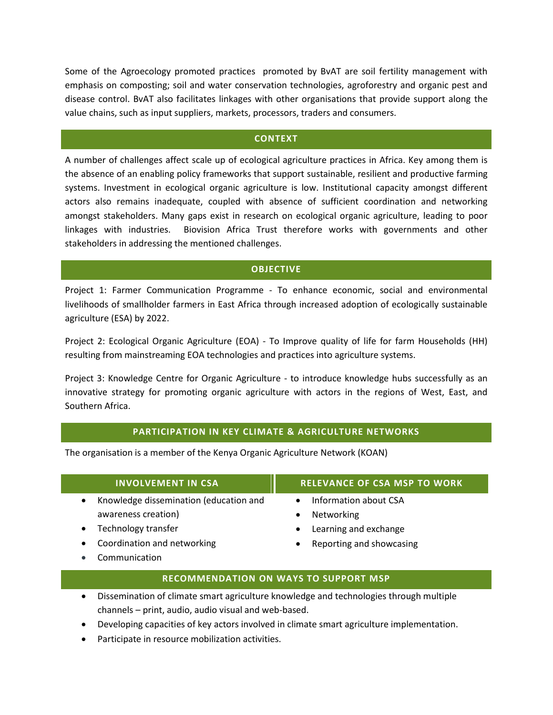Some of the Agroecology promoted practices promoted by BvAT are soil fertility management with emphasis on composting; soil and water conservation technologies, agroforestry and organic pest and disease control. BvAT also facilitates linkages with other organisations that provide support along the value chains, such as input suppliers, markets, processors, traders and consumers.

#### **CONTEXT**

A number of challenges affect scale up of ecological agriculture practices in Africa. Key among them is the absence of an enabling policy frameworks that support sustainable, resilient and productive farming systems. Investment in ecological organic agriculture is low. Institutional capacity amongst different actors also remains inadequate, coupled with absence of sufficient coordination and networking amongst stakeholders. Many gaps exist in research on ecological organic agriculture, leading to poor linkages with industries. Biovision Africa Trust therefore works with governments and other stakeholders in addressing the mentioned challenges.

### **OBJECTIVE**

Project 1: Farmer Communication Programme - To enhance economic, social and environmental livelihoods of smallholder farmers in East Africa through increased adoption of ecologically sustainable agriculture (ESA) by 2022.

Project 2: Ecological Organic Agriculture (EOA) - To Improve quality of life for farm Households (HH) resulting from mainstreaming EOA technologies and practices into agriculture systems.

Project 3: Knowledge Centre for Organic Agriculture - to introduce knowledge hubs successfully as an innovative strategy for promoting organic agriculture with actors in the regions of West, East, and Southern Africa.

### **PARTICIPATION IN KEY CLIMATE & AGRICULTURE NETWORKS**

The organisation is a member of the Kenya Organic Agriculture Network (KOAN)

| <b>INVOLVEMENT IN CSA</b>                           | <b>RELEVANCE OF CSA MSP TO WORK</b> |  |
|-----------------------------------------------------|-------------------------------------|--|
| Knowledge dissemination (education and<br>$\bullet$ | Information about CSA               |  |
| awareness creation)                                 | Networking                          |  |
| Technology transfer<br>$\bullet$                    | Learning and exchange               |  |
| Coordination and networking<br>$\bullet$            | Reporting and showcasing            |  |
|                                                     |                                     |  |

# Communication

- **RECOMMENDATION ON WAYS TO SUPPORT MSP**
- Dissemination of climate smart agriculture knowledge and technologies through multiple channels – print, audio, audio visual and web-based.
- Developing capacities of key actors involved in climate smart agriculture implementation.
- Participate in resource mobilization activities.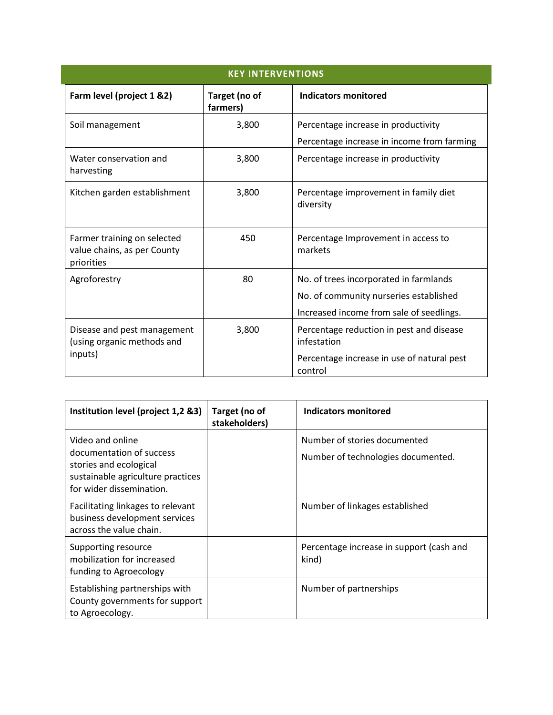| <b>KEY INTERVENTIONS</b>                                                 |                           |                                                                                                                              |  |  |
|--------------------------------------------------------------------------|---------------------------|------------------------------------------------------------------------------------------------------------------------------|--|--|
| Farm level (project 1 &2)                                                | Target (no of<br>farmers) | <b>Indicators monitored</b>                                                                                                  |  |  |
| Soil management                                                          | 3,800                     | Percentage increase in productivity<br>Percentage increase in income from farming                                            |  |  |
| Water conservation and<br>harvesting                                     | 3,800                     | Percentage increase in productivity                                                                                          |  |  |
| Kitchen garden establishment                                             | 3,800                     | Percentage improvement in family diet<br>diversity                                                                           |  |  |
| Farmer training on selected<br>value chains, as per County<br>priorities | 450                       | Percentage Improvement in access to<br>markets                                                                               |  |  |
| Agroforestry                                                             | 80                        | No. of trees incorporated in farmlands<br>No. of community nurseries established<br>Increased income from sale of seedlings. |  |  |
| Disease and pest management<br>(using organic methods and<br>inputs)     | 3,800                     | Percentage reduction in pest and disease<br>infestation<br>Percentage increase in use of natural pest<br>control             |  |  |

| Institution level (project 1,2 &3)                                                                                                      | Target (no of<br>stakeholders) | Indicators monitored                                               |
|-----------------------------------------------------------------------------------------------------------------------------------------|--------------------------------|--------------------------------------------------------------------|
| Video and online<br>documentation of success<br>stories and ecological<br>sustainable agriculture practices<br>for wider dissemination. |                                | Number of stories documented<br>Number of technologies documented. |
| Facilitating linkages to relevant<br>business development services<br>across the value chain.                                           |                                | Number of linkages established                                     |
| Supporting resource<br>mobilization for increased<br>funding to Agroecology                                                             |                                | Percentage increase in support (cash and<br>kind)                  |
| Establishing partnerships with<br>County governments for support<br>to Agroecology.                                                     |                                | Number of partnerships                                             |